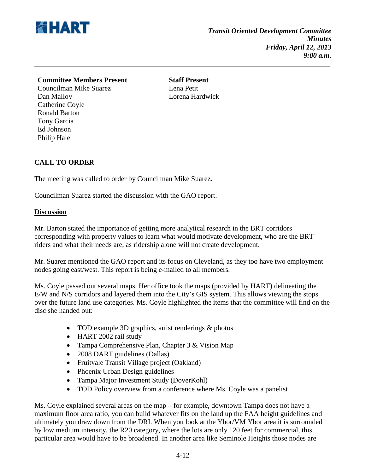

## **Committee Members Present Staff Present**

Councilman Mike Suarez Lena Petit Dan Malloy Lorena Hardwick Catherine Coyle Ronald Barton Tony Garcia Ed Johnson Philip Hale

## **CALL TO ORDER**

The meeting was called to order by Councilman Mike Suarez.

Councilman Suarez started the discussion with the GAO report.

## **Discussion**

Mr. Barton stated the importance of getting more analytical research in the BRT corridors corresponding with property values to learn what would motivate development, who are the BRT riders and what their needs are, as ridership alone will not create development.

Mr. Suarez mentioned the GAO report and its focus on Cleveland, as they too have two employment nodes going east/west. This report is being e-mailed to all members.

Ms. Coyle passed out several maps. Her office took the maps (provided by HART) delineating the E/W and N/S corridors and layered them into the City's GIS system. This allows viewing the stops over the future land use categories. Ms. Coyle highlighted the items that the committee will find on the disc she handed out:

- TOD example 3D graphics, artist renderings & photos
- HART 2002 rail study
- Tampa Comprehensive Plan, Chapter 3 & Vision Map
- 2008 DART guidelines (Dallas)
- Fruitvale Transit Village project (Oakland)
- Phoenix Urban Design guidelines
- Tampa Major Investment Study (DoverKohl)
- TOD Policy overview from a conference where Ms. Coyle was a panelist

Ms. Coyle explained several areas on the map – for example, downtown Tampa does not have a maximum floor area ratio, you can build whatever fits on the land up the FAA height guidelines and ultimately you draw down from the DRI. When you look at the Ybor/VM Ybor area it is surrounded by low medium intensity, the R20 category, where the lots are only 120 feet for commercial, this particular area would have to be broadened. In another area like Seminole Heights those nodes are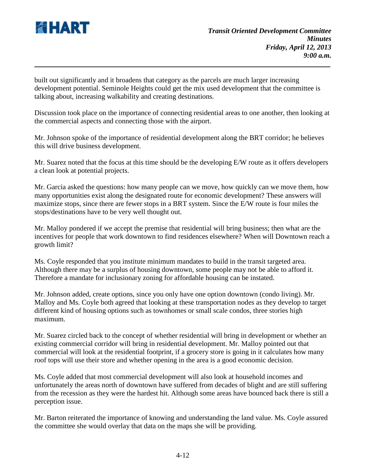

built out significantly and it broadens that category as the parcels are much larger increasing development potential. Seminole Heights could get the mix used development that the committee is talking about, increasing walkability and creating destinations.

Discussion took place on the importance of connecting residential areas to one another, then looking at the commercial aspects and connecting those with the airport.

Mr. Johnson spoke of the importance of residential development along the BRT corridor; he believes this will drive business development.

Mr. Suarez noted that the focus at this time should be the developing E/W route as it offers developers a clean look at potential projects.

Mr. Garcia asked the questions: how many people can we move, how quickly can we move them, how many opportunities exist along the designated route for economic development? These answers will maximize stops, since there are fewer stops in a BRT system. Since the E/W route is four miles the stops/destinations have to be very well thought out.

Mr. Malloy pondered if we accept the premise that residential will bring business; then what are the incentives for people that work downtown to find residences elsewhere? When will Downtown reach a growth limit?

Ms. Coyle responded that you institute minimum mandates to build in the transit targeted area. Although there may be a surplus of housing downtown, some people may not be able to afford it. Therefore a mandate for inclusionary zoning for affordable housing can be instated.

Mr. Johnson added, create options, since you only have one option downtown (condo living). Mr. Malloy and Ms. Coyle both agreed that looking at these transportation nodes as they develop to target different kind of housing options such as townhomes or small scale condos, three stories high maximum.

Mr. Suarez circled back to the concept of whether residential will bring in development or whether an existing commercial corridor will bring in residential development. Mr. Malloy pointed out that commercial will look at the residential footprint, if a grocery store is going in it calculates how many roof tops will use their store and whether opening in the area is a good economic decision.

Ms. Coyle added that most commercial development will also look at household incomes and unfortunately the areas north of downtown have suffered from decades of blight and are still suffering from the recession as they were the hardest hit. Although some areas have bounced back there is still a perception issue.

Mr. Barton reiterated the importance of knowing and understanding the land value. Ms. Coyle assured the committee she would overlay that data on the maps she will be providing.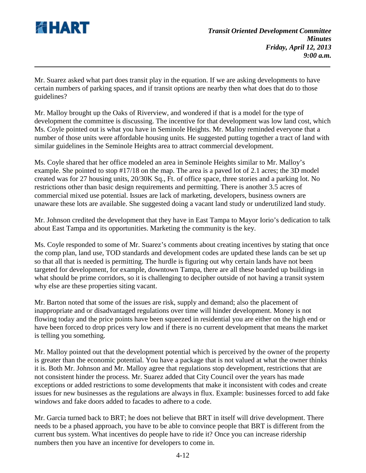

Mr. Suarez asked what part does transit play in the equation. If we are asking developments to have certain numbers of parking spaces, and if transit options are nearby then what does that do to those guidelines?

Mr. Malloy brought up the Oaks of Riverview, and wondered if that is a model for the type of development the committee is discussing. The incentive for that development was low land cost, which Ms. Coyle pointed out is what you have in Seminole Heights. Mr. Malloy reminded everyone that a number of those units were affordable housing units. He suggested putting together a tract of land with similar guidelines in the Seminole Heights area to attract commercial development.

Ms. Coyle shared that her office modeled an area in Seminole Heights similar to Mr. Malloy's example. She pointed to stop #17/18 on the map. The area is a paved lot of 2.1 acres; the 3D model created was for 27 housing units, 20/30K Sq., Ft. of office space, three stories and a parking lot. No restrictions other than basic design requirements and permitting. There is another 3.5 acres of commercial mixed use potential. Issues are lack of marketing, developers, business owners are unaware these lots are available. She suggested doing a vacant land study or underutilized land study.

Mr. Johnson credited the development that they have in East Tampa to Mayor Iorio's dedication to talk about East Tampa and its opportunities. Marketing the community is the key.

Ms. Coyle responded to some of Mr. Suarez's comments about creating incentives by stating that once the comp plan, land use, TOD standards and development codes are updated these lands can be set up so that all that is needed is permitting. The hurdle is figuring out why certain lands have not been targeted for development, for example, downtown Tampa, there are all these boarded up buildings in what should be prime corridors, so it is challenging to decipher outside of not having a transit system why else are these properties siting vacant.

Mr. Barton noted that some of the issues are risk, supply and demand; also the placement of inappropriate and or disadvantaged regulations over time will hinder development. Money is not flowing today and the price points have been squeezed in residential you are either on the high end or have been forced to drop prices very low and if there is no current development that means the market is telling you something.

Mr. Malloy pointed out that the development potential which is perceived by the owner of the property is greater than the economic potential. You have a package that is not valued at what the owner thinks it is. Both Mr. Johnson and Mr. Malloy agree that regulations stop development, restrictions that are not consistent hinder the process. Mr. Suarez added that City Council over the years has made exceptions or added restrictions to some developments that make it inconsistent with codes and create issues for new businesses as the regulations are always in flux. Example: businesses forced to add fake windows and fake doors added to facades to adhere to a code.

Mr. Garcia turned back to BRT; he does not believe that BRT in itself will drive development. There needs to be a phased approach, you have to be able to convince people that BRT is different from the current bus system. What incentives do people have to ride it? Once you can increase ridership numbers then you have an incentive for developers to come in.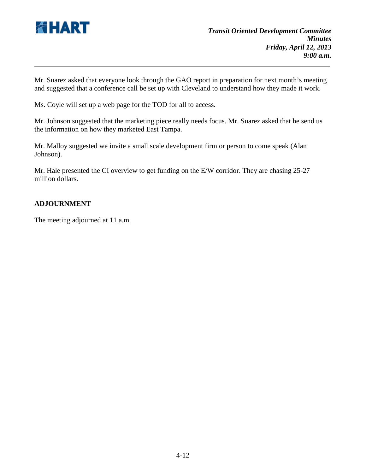

Mr. Suarez asked that everyone look through the GAO report in preparation for next month's meeting and suggested that a conference call be set up with Cleveland to understand how they made it work.

Ms. Coyle will set up a web page for the TOD for all to access.

Mr. Johnson suggested that the marketing piece really needs focus. Mr. Suarez asked that he send us the information on how they marketed East Tampa.

Mr. Malloy suggested we invite a small scale development firm or person to come speak (Alan Johnson).

Mr. Hale presented the CI overview to get funding on the E/W corridor. They are chasing 25-27 million dollars.

## **ADJOURNMENT**

The meeting adjourned at 11 a.m.